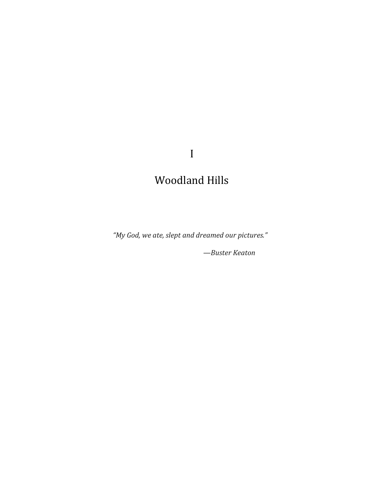I

## Woodland Hills

*"My God, we ate, slept and dreamed our pictures."*

*—Buster Keaton*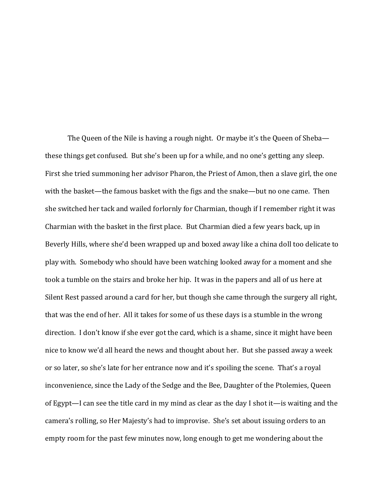The Queen of the Nile is having a rough night. Or maybe it's the Queen of Sheba these things get confused. But she's been up for a while, and no one's getting any sleep. First she tried summoning her advisor Pharon, the Priest of Amon, then a slave girl, the one with the basket—the famous basket with the figs and the snake—but no one came. Then she switched her tack and wailed forlornly for Charmian, though if I remember right it was Charmian with the basket in the first place. But Charmian died a few years back, up in Beverly Hills, where she'd been wrapped up and boxed away like a china doll too delicate to play with. Somebody who should have been watching looked away for a moment and she took a tumble on the stairs and broke her hip. It was in the papers and all of us here at Silent Rest passed around a card for her, but though she came through the surgery all right, that was the end of her. All it takes for some of us these days is a stumble in the wrong direction. I don't know if she ever got the card, which is a shame, since it might have been nice to know we'd all heard the news and thought about her. But she passed away a week or so later, so she's late for her entrance now and it's spoiling the scene. That's a royal inconvenience, since the Lady of the Sedge and the Bee, Daughter of the Ptolemies, Queen of Egypt—I can see the title card in my mind as clear as the day I shot it—is waiting and the camera's rolling, so Her Majesty's had to improvise. She's set about issuing orders to an empty room for the past few minutes now, long enough to get me wondering about the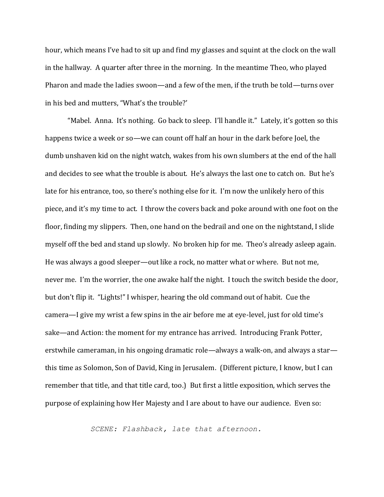hour, which means I've had to sit up and find my glasses and squint at the clock on the wall in the hallway. A quarter after three in the morning. In the meantime Theo, who played Pharon and made the ladies swoon—and a few of the men, if the truth be told—turns over in his bed and mutters, "What's the trouble?'

"Mabel. Anna. It's nothing. Go back to sleep. I'll handle it." Lately, it's gotten so this happens twice a week or so—we can count off half an hour in the dark before Joel, the dumb unshaven kid on the night watch, wakes from his own slumbers at the end of the hall and decides to see what the trouble is about. He's always the last one to catch on. But he's late for his entrance, too, so there's nothing else for it. I'm now the unlikely hero of this piece, and it's my time to act. I throw the covers back and poke around with one foot on the floor, finding my slippers. Then, one hand on the bedrail and one on the nightstand, I slide myself off the bed and stand up slowly. No broken hip for me. Theo's already asleep again. He was always a good sleeper—out like a rock, no matter what or where. But not me, never me. I'm the worrier, the one awake half the night. I touch the switch beside the door, but don't flip it. "Lights!" I whisper, hearing the old command out of habit. Cue the camera—I give my wrist a few spins in the air before me at eye-level, just for old time's sake—and Action: the moment for my entrance has arrived. Introducing Frank Potter, erstwhile cameraman, in his ongoing dramatic role—always a walk-on, and always a star this time as Solomon, Son of David, King in Jerusalem. (Different picture, I know, but I can remember that title, and that title card, too.) But first a little exposition, which serves the purpose of explaining how Her Majesty and I are about to have our audience. Even so:

*SCENE: Flashback, late that afternoon.*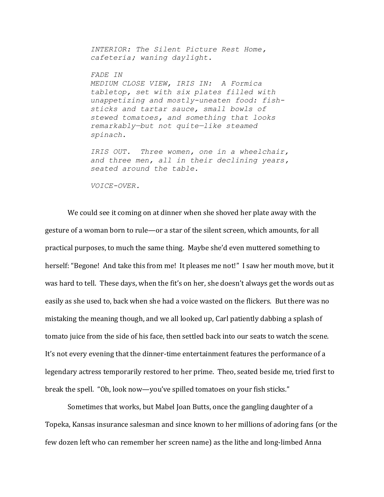*INTERIOR: The Silent Picture Rest Home, cafeteria; waning daylight.* 

*FADE IN MEDIUM CLOSE VIEW, IRIS IN: A Formica tabletop, set with six plates filled with unappetizing and mostly-uneaten food: fishsticks and tartar sauce, small bowls of stewed tomatoes, and something that looks remarkably—but not quite—like steamed spinach.* 

*IRIS OUT. Three women, one in a wheelchair, and three men, all in their declining years, seated around the table.*

*VOICE-OVER.*

We could see it coming on at dinner when she shoved her plate away with the gesture of a woman born to rule—or a star of the silent screen, which amounts, for all practical purposes, to much the same thing. Maybe she'd even muttered something to herself: "Begone! And take this from me! It pleases me not!" I saw her mouth move, but it was hard to tell. These days, when the fit's on her, she doesn't always get the words out as easily as she used to, back when she had a voice wasted on the flickers. But there was no mistaking the meaning though, and we all looked up, Carl patiently dabbing a splash of tomato juice from the side of his face, then settled back into our seats to watch the scene. It's not every evening that the dinner-time entertainment features the performance of a legendary actress temporarily restored to her prime. Theo, seated beside me, tried first to break the spell. "Oh, look now—you've spilled tomatoes on your fish sticks."

Sometimes that works, but Mabel Joan Butts, once the gangling daughter of a Topeka, Kansas insurance salesman and since known to her millions of adoring fans (or the few dozen left who can remember her screen name) as the lithe and long-limbed Anna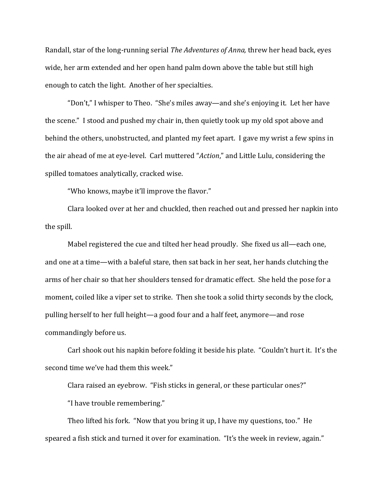Randall, star of the long-running serial *The Adventures of Anna,* threw her head back, eyes wide, her arm extended and her open hand palm down above the table but still high enough to catch the light. Another of her specialties.

"Don't," I whisper to Theo. "She's miles away—and she's enjoying it. Let her have the scene." I stood and pushed my chair in, then quietly took up my old spot above and behind the others, unobstructed, and planted my feet apart. I gave my wrist a few spins in the air ahead of me at eye-level. Carl muttered "*Action*," and Little Lulu, considering the spilled tomatoes analytically, cracked wise.

"Who knows, maybe it'll improve the flavor."

Clara looked over at her and chuckled, then reached out and pressed her napkin into the spill.

Mabel registered the cue and tilted her head proudly. She fixed us all—each one, and one at a time—with a baleful stare, then sat back in her seat, her hands clutching the arms of her chair so that her shoulders tensed for dramatic effect. She held the pose for a moment, coiled like a viper set to strike. Then she took a solid thirty seconds by the clock, pulling herself to her full height—a good four and a half feet, anymore—and rose commandingly before us.

Carl shook out his napkin before folding it beside his plate. "Couldn't hurt it. It's the second time we've had them this week."

Clara raised an eyebrow. "Fish sticks in general, or these particular ones?"

"I have trouble remembering."

Theo lifted his fork. "Now that you bring it up, I have my questions, too." He speared a fish stick and turned it over for examination. "It's the week in review, again."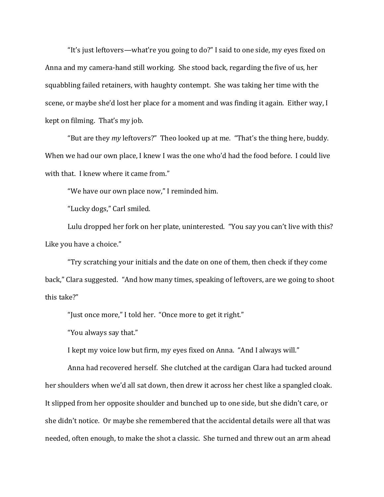"It's just leftovers—what're you going to do?" I said to one side, my eyes fixed on Anna and my camera-hand still working. She stood back, regarding the five of us, her squabbling failed retainers, with haughty contempt. She was taking her time with the scene, or maybe she'd lost her place for a moment and was finding it again. Either way, I kept on filming. That's my job.

"But are they *my* leftovers?" Theo looked up at me. "That's the thing here, buddy. When we had our own place, I knew I was the one who'd had the food before. I could live with that. I knew where it came from."

"We have our own place now," I reminded him.

"Lucky dogs," Carl smiled.

Lulu dropped her fork on her plate, uninterested. "You say you can't live with this? Like you have a choice."

"Try scratching your initials and the date on one of them, then check if they come back," Clara suggested. "And how many times, speaking of leftovers, are we going to shoot this take?"

"Just once more," I told her. "Once more to get it right."

"You always say that."

I kept my voice low but firm, my eyes fixed on Anna. "And I always will."

Anna had recovered herself. She clutched at the cardigan Clara had tucked around her shoulders when we'd all sat down, then drew it across her chest like a spangled cloak. It slipped from her opposite shoulder and bunched up to one side, but she didn't care, or she didn't notice. Or maybe she remembered that the accidental details were all that was needed, often enough, to make the shot a classic. She turned and threw out an arm ahead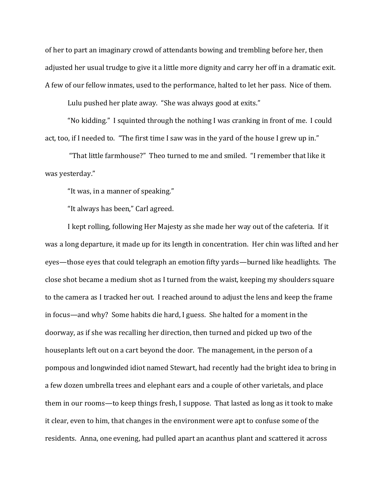of her to part an imaginary crowd of attendants bowing and trembling before her, then adjusted her usual trudge to give it a little more dignity and carry her off in a dramatic exit. A few of our fellow inmates, used to the performance, halted to let her pass. Nice of them.

Lulu pushed her plate away. "She was always good at exits."

"No kidding." I squinted through the nothing I was cranking in front of me. I could act, too, if I needed to. "The first time I saw was in the yard of the house I grew up in."

"That little farmhouse?" Theo turned to me and smiled. "I remember that like it was yesterday."

"It was, in a manner of speaking."

"It always has been," Carl agreed.

I kept rolling, following Her Majesty as she made her way out of the cafeteria. If it was a long departure, it made up for its length in concentration. Her chin was lifted and her eyes—those eyes that could telegraph an emotion fifty yards—burned like headlights. The close shot became a medium shot as I turned from the waist, keeping my shoulders square to the camera as I tracked her out. I reached around to adjust the lens and keep the frame in focus—and why? Some habits die hard, I guess. She halted for a moment in the doorway, as if she was recalling her direction, then turned and picked up two of the houseplants left out on a cart beyond the door. The management, in the person of a pompous and longwinded idiot named Stewart, had recently had the bright idea to bring in a few dozen umbrella trees and elephant ears and a couple of other varietals, and place them in our rooms—to keep things fresh, I suppose. That lasted as long as it took to make it clear, even to him, that changes in the environment were apt to confuse some of the residents. Anna, one evening, had pulled apart an acanthus plant and scattered it across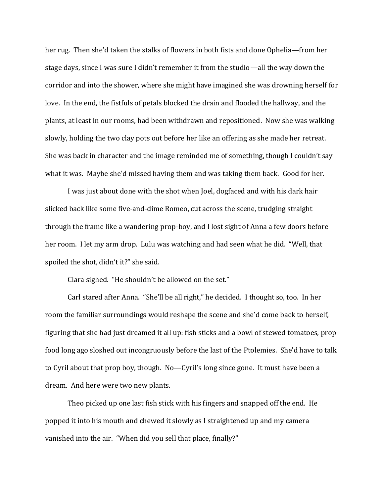her rug. Then she'd taken the stalks of flowers in both fists and done Ophelia—from her stage days, since I was sure I didn't remember it from the studio—all the way down the corridor and into the shower, where she might have imagined she was drowning herself for love. In the end, the fistfuls of petals blocked the drain and flooded the hallway, and the plants, at least in our rooms, had been withdrawn and repositioned. Now she was walking slowly, holding the two clay pots out before her like an offering as she made her retreat. She was back in character and the image reminded me of something, though I couldn't say what it was. Maybe she'd missed having them and was taking them back. Good for her.

I was just about done with the shot when Joel, dogfaced and with his dark hair slicked back like some five-and-dime Romeo, cut across the scene, trudging straight through the frame like a wandering prop-boy, and I lost sight of Anna a few doors before her room. I let my arm drop. Lulu was watching and had seen what he did. "Well, that spoiled the shot, didn't it?" she said.

Clara sighed. "He shouldn't be allowed on the set."

Carl stared after Anna. "She'll be all right," he decided. I thought so, too. In her room the familiar surroundings would reshape the scene and she'd come back to herself, figuring that she had just dreamed it all up: fish sticks and a bowl of stewed tomatoes, prop food long ago sloshed out incongruously before the last of the Ptolemies. She'd have to talk to Cyril about that prop boy, though. No—Cyril's long since gone. It must have been a dream. And here were two new plants.

Theo picked up one last fish stick with his fingers and snapped off the end. He popped it into his mouth and chewed it slowly as I straightened up and my camera vanished into the air. "When did you sell that place, finally?"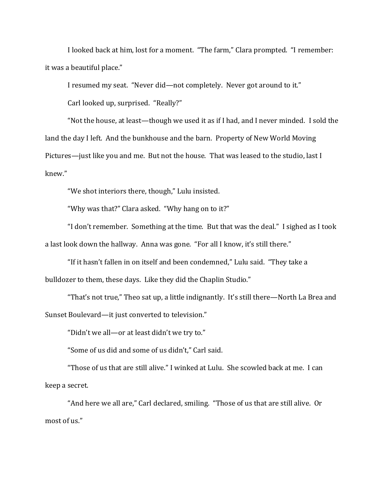I looked back at him, lost for a moment. "The farm," Clara prompted. "I remember: it was a beautiful place."

I resumed my seat. "Never did—not completely. Never got around to it."

Carl looked up, surprised. "Really?"

"Not the house, at least—though we used it as if I had, and I never minded. I sold the land the day I left. And the bunkhouse and the barn. Property of New World Moving Pictures—just like you and me. But not the house. That was leased to the studio, last I knew."

"We shot interiors there, though," Lulu insisted.

"Why was that?" Clara asked. "Why hang on to it?"

"I don't remember. Something at the time. But that was the deal." I sighed as I took a last look down the hallway. Anna was gone. "For all I know, it's still there."

"If it hasn't fallen in on itself and been condemned," Lulu said. "They take a bulldozer to them, these days. Like they did the Chaplin Studio."

"That's not true," Theo sat up, a little indignantly. It's still there—North La Brea and Sunset Boulevard—it just converted to television."

"Didn't we all—or at least didn't we try to."

"Some of us did and some of us didn't," Carl said.

"Those of us that are still alive." I winked at Lulu. She scowled back at me. I can keep a secret.

"And here we all are," Carl declared, smiling. "Those of us that are still alive. Or most of us."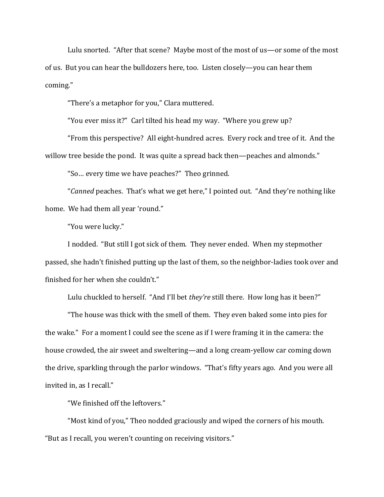Lulu snorted. "After that scene? Maybe most of the most of us—or some of the most of us. But you can hear the bulldozers here, too. Listen closely—you can hear them coming."

"There's a metaphor for you," Clara muttered.

"You ever miss it?" Carl tilted his head my way. "Where you grew up?

"From this perspective? All eight-hundred acres. Every rock and tree of it. And the willow tree beside the pond. It was quite a spread back then—peaches and almonds."

"So… every time we have peaches?" Theo grinned.

"*Canned* peaches. That's what we get here," I pointed out. "And they're nothing like home. We had them all year 'round."

"You were lucky."

I nodded. "But still I got sick of them. They never ended. When my stepmother passed, she hadn't finished putting up the last of them, so the neighbor-ladies took over and finished for her when she couldn't."

Lulu chuckled to herself. "And I'll bet *they're* still there. How long has it been?"

"The house was thick with the smell of them. They even baked some into pies for the wake." For a moment I could see the scene as if I were framing it in the camera: the house crowded, the air sweet and sweltering—and a long cream-yellow car coming down the drive, sparkling through the parlor windows. "That's fifty years ago. And you were all invited in, as I recall."

"We finished off the leftovers."

"Most kind of you," Theo nodded graciously and wiped the corners of his mouth. "But as I recall, you weren't counting on receiving visitors."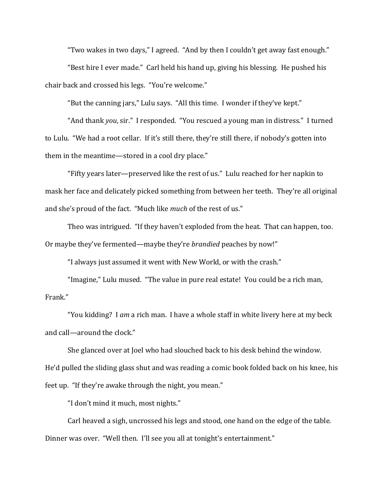"Two wakes in two days," I agreed. "And by then I couldn't get away fast enough."

"Best hire I ever made." Carl held his hand up, giving his blessing. He pushed his chair back and crossed his legs. "You're welcome."

"But the canning jars," Lulu says. "All this time. I wonder if they've kept."

"And thank *you*, sir." I responded. "You rescued a young man in distress." I turned to Lulu. "We had a root cellar. If it's still there, they're still there, if nobody's gotten into them in the meantime—stored in a cool dry place."

"Fifty years later—preserved like the rest of us." Lulu reached for her napkin to mask her face and delicately picked something from between her teeth. They're all original and she's proud of the fact. "Much like *much* of the rest of us."

Theo was intrigued. "If they haven't exploded from the heat. That can happen, too. Or maybe they've fermented—maybe they're *brandied* peaches by now!"

"I always just assumed it went with New World, or with the crash."

"Imagine," Lulu mused. "The value in pure real estate! You could be a rich man, Frank."

"You kidding? I *am* a rich man. I have a whole staff in white livery here at my beck and call—around the clock."

She glanced over at Joel who had slouched back to his desk behind the window. He'd pulled the sliding glass shut and was reading a comic book folded back on his knee, his feet up. "If they're awake through the night, you mean."

"I don't mind it much, most nights."

Carl heaved a sigh, uncrossed his legs and stood, one hand on the edge of the table. Dinner was over. "Well then. I'll see you all at tonight's entertainment."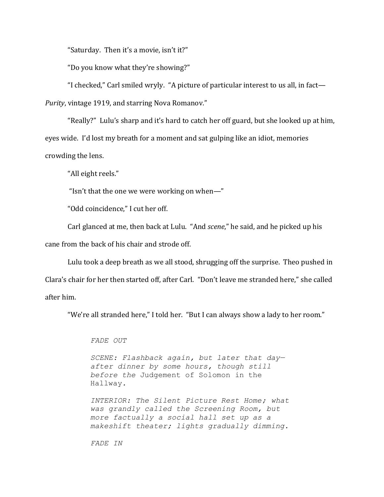"Saturday. Then it's a movie, isn't it?"

"Do you know what they're showing?"

"I checked," Carl smiled wryly. "A picture of particular interest to us all, in fact— *Purity*, vintage 1919, and starring Nova Romanov."

"Really?" Lulu's sharp and it's hard to catch her off guard, but she looked up at him, eyes wide. I'd lost my breath for a moment and sat gulping like an idiot, memories crowding the lens.

"All eight reels."

"Isn't that the one we were working on when—"

"Odd coincidence," I cut her off.

Carl glanced at me, then back at Lulu. "And *scene*," he said, and he picked up his

cane from the back of his chair and strode off.

Lulu took a deep breath as we all stood, shrugging off the surprise. Theo pushed in Clara's chair for her then started off, after Carl. "Don't leave me stranded here," she called after him.

"We're all stranded here," I told her. "But I can always show a lady to her room."

*FADE OUT*

*SCENE: Flashback again, but later that day after dinner by some hours, though still before the* Judgement of Solomon in the Hallway*.*

*INTERIOR: The Silent Picture Rest Home; what was grandly called the Screening Room, but more factually a social hall set up as a makeshift theater; lights gradually dimming.*

*FADE IN*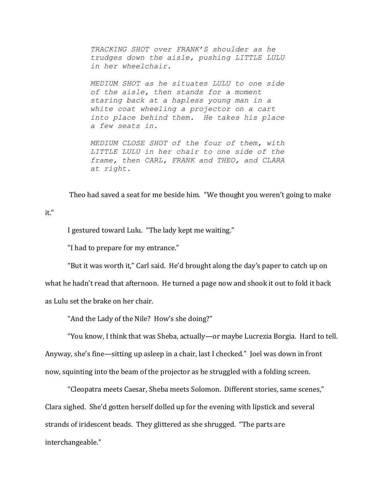*TRACKING SHOT over FRANK'S shoulder as he trudges down the aisle, pushing LITTLE LULU in her wheelchair.*

*MEDIUM SHOT as he situates LULU to one side of the aisle, then stands for a moment staring back at a hapless young man in a white coat wheeling a projector on a cart into place behind them. He takes his place a few seats in.*

*MEDIUM CLOSE SHOT of the four of them, with LITTLE LULU in her chair to one side of the frame, then CARL, FRANK and THEO, and CLARA at right.*

Theo had saved a seat for me beside him. "We thought you weren't going to make

## it."

I gestured toward Lulu. "The lady kept me waiting."

"I had to prepare for my entrance."

"But it was worth it," Carl said. He'd brought along the day's paper to catch up on what he hadn't read that afternoon. He turned a page now and shook it out to fold it back as Lulu set the brake on her chair.

"And the Lady of the Nile? How's she doing?"

"You know, I think that was Sheba, actually—or maybe Lucrezia Borgia. Hard to tell. Anyway, she's fine—sitting up asleep in a chair, last I checked." Joel was down in front now, squinting into the beam of the projector as he struggled with a folding screen.

"Cleopatra meets Caesar, Sheba meets Solomon. Different stories, same scenes," Clara sighed. She'd gotten herself dolled up for the evening with lipstick and several strands of iridescent beads. They glittered as she shrugged. "The parts are interchangeable."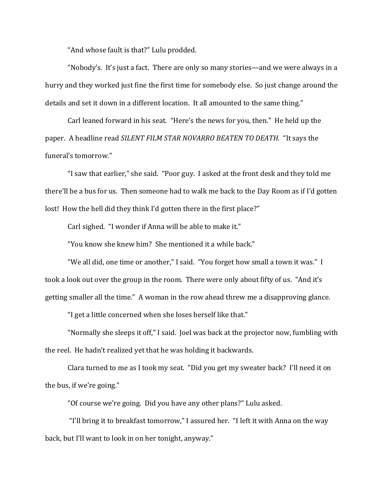"And whose fault is that?" Lulu prodded.

"Nobody's. It's just a fact. There are only so many stories—and we were always in a hurry and they worked just fine the first time for somebody else. So just change around the details and set it down in a different location. It all amounted to the same thing."

Carl leaned forward in his seat. "Here's the news for you, then." He held up the paper. A headline read *SILENT FILM STAR NOVARRO BEATEN TO DEATH.* "It says the funeral's tomorrow."

"I saw that earlier," she said. "Poor guy. I asked at the front desk and they told me there'll be a bus for us. Then someone had to walk me back to the Day Room as if I'd gotten lost! How the hell did they think I'd gotten there in the first place?"

Carl sighed. "I wonder if Anna will be able to make it."

"You know she knew him? She mentioned it a while back."

"We all did, one time or another," I said. "You forget how small a town it was." I took a look out over the group in the room. There were only about fifty of us. "And it's getting smaller all the time." A woman in the row ahead threw me a disapproving glance.

"I get a little concerned when she loses herself like that."

"Normally she sleeps it off," I said. Joel was back at the projector now, fumbling with the reel. He hadn't realized yet that he was holding it backwards.

Clara turned to me as I took my seat. "Did you get my sweater back? I'll need it on the bus, if we're going."

"Of course we're going. Did you have any other plans?" Lulu asked.

"I'll bring it to breakfast tomorrow," I assured her. "I left it with Anna on the way back, but I'll want to look in on her tonight, anyway."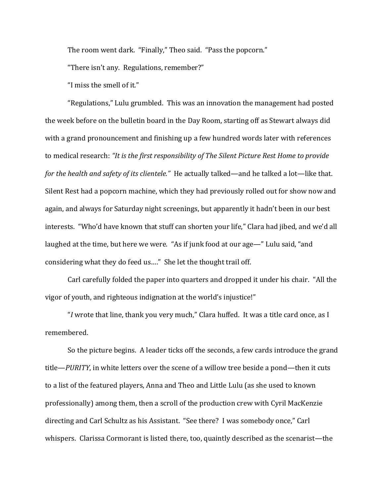The room went dark. "Finally," Theo said. "Pass the popcorn."

"There isn't any. Regulations, remember?"

"I miss the smell of it."

"Regulations," Lulu grumbled. This was an innovation the management had posted the week before on the bulletin board in the Day Room, starting off as Stewart always did with a grand pronouncement and finishing up a few hundred words later with references to medical research: *"It is the first responsibility of The Silent Picture Rest Home to provide for the health and safety of its clientele."* He actually talked—and he talked a lot—like that. Silent Rest had a popcorn machine, which they had previously rolled out for show now and again, and always for Saturday night screenings, but apparently it hadn't been in our best interests. "Who'd have known that stuff can shorten your life," Clara had jibed, and we'd all laughed at the time, but here we were. "As if junk food at our age—" Lulu said, "and considering what they do feed us…." She let the thought trail off.

Carl carefully folded the paper into quarters and dropped it under his chair. "All the vigor of youth, and righteous indignation at the world's injustice!"

"*I* wrote that line, thank you very much," Clara huffed. It was a title card once, as I remembered.

So the picture begins. A leader ticks off the seconds, a few cards introduce the grand title—*PURITY*, in white letters over the scene of a willow tree beside a pond—then it cuts to a list of the featured players, Anna and Theo and Little Lulu (as she used to known professionally) among them, then a scroll of the production crew with Cyril MacKenzie directing and Carl Schultz as his Assistant. "See there? I was somebody once," Carl whispers. Clarissa Cormorant is listed there, too, quaintly described as the scenarist—the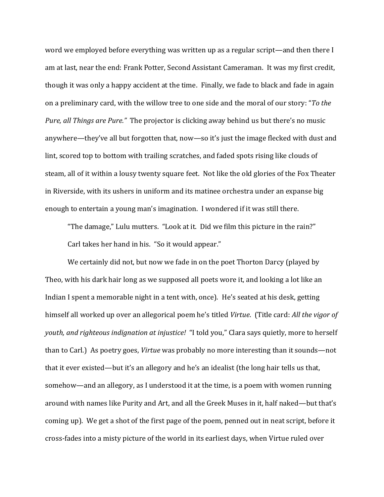word we employed before everything was written up as a regular script—and then there I am at last, near the end: Frank Potter, Second Assistant Cameraman. It was my first credit, though it was only a happy accident at the time. Finally, we fade to black and fade in again on a preliminary card, with the willow tree to one side and the moral of our story: "*To the Pure, all Things are Pure."* The projector is clicking away behind us but there's no music anywhere—they've all but forgotten that, now—so it's just the image flecked with dust and lint, scored top to bottom with trailing scratches, and faded spots rising like clouds of steam, all of it within a lousy twenty square feet. Not like the old glories of the Fox Theater in Riverside, with its ushers in uniform and its matinee orchestra under an expanse big enough to entertain a young man's imagination. I wondered if it was still there.

"The damage," Lulu mutters. "Look at it. Did we film this picture in the rain?" Carl takes her hand in his. "So it would appear."

We certainly did not, but now we fade in on the poet Thorton Darcy (played by Theo, with his dark hair long as we supposed all poets wore it, and looking a lot like an Indian I spent a memorable night in a tent with, once). He's seated at his desk, getting himself all worked up over an allegorical poem he's titled *Virtue*. (Title card: *All the vigor of youth, and righteous indignation at injustice!* "I told you," Clara says quietly, more to herself than to Carl.) As poetry goes, *Virtue* was probably no more interesting than it sounds—not that it ever existed—but it's an allegory and he's an idealist (the long hair tells us that, somehow—and an allegory, as I understood it at the time, is a poem with women running around with names like Purity and Art, and all the Greek Muses in it, half naked—but that's coming up). We get a shot of the first page of the poem, penned out in neat script, before it cross-fades into a misty picture of the world in its earliest days, when Virtue ruled over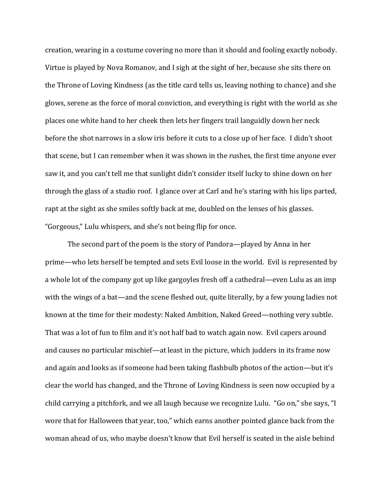creation, wearing in a costume covering no more than it should and fooling exactly nobody. Virtue is played by Nova Romanov, and I sigh at the sight of her, because she sits there on the Throne of Loving Kindness (as the title card tells us, leaving nothing to chance) and she glows, serene as the force of moral conviction, and everything is right with the world as she places one white hand to her cheek then lets her fingers trail languidly down her neck before the shot narrows in a slow iris before it cuts to a close up of her face. I didn't shoot that scene, but I can remember when it was shown in the rushes, the first time anyone ever saw it, and you can't tell me that sunlight didn't consider itself lucky to shine down on her through the glass of a studio roof. I glance over at Carl and he's staring with his lips parted, rapt at the sight as she smiles softly back at me, doubled on the lenses of his glasses. "Gorgeous," Lulu whispers, and she's not being flip for once.

The second part of the poem is the story of Pandora—played by Anna in her prime—who lets herself be tempted and sets Evil loose in the world. Evil is represented by a whole lot of the company got up like gargoyles fresh off a cathedral—even Lulu as an imp with the wings of a bat—and the scene fleshed out, quite literally, by a few young ladies not known at the time for their modesty: Naked Ambition, Naked Greed—nothing very subtle. That was a lot of fun to film and it's not half bad to watch again now. Evil capers around and causes no particular mischief—at least in the picture, which judders in its frame now and again and looks as if someone had been taking flashbulb photos of the action—but it's clear the world has changed, and the Throne of Loving Kindness is seen now occupied by a child carrying a pitchfork, and we all laugh because we recognize Lulu. "Go on," she says, "I wore that for Halloween that year, too," which earns another pointed glance back from the woman ahead of us, who maybe doesn't know that Evil herself is seated in the aisle behind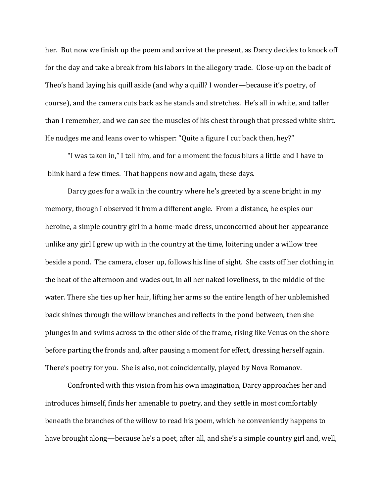her. But now we finish up the poem and arrive at the present, as Darcy decides to knock off for the day and take a break from his labors in the allegory trade. Close-up on the back of Theo's hand laying his quill aside (and why a quill? I wonder—because it's poetry, of course), and the camera cuts back as he stands and stretches. He's all in white, and taller than I remember, and we can see the muscles of his chest through that pressed white shirt. He nudges me and leans over to whisper: "Quite a figure I cut back then, hey?"

"I was taken in," I tell him, and for a moment the focus blurs a little and I have to blink hard a few times. That happens now and again, these days.

Darcy goes for a walk in the country where he's greeted by a scene bright in my memory, though I observed it from a different angle. From a distance, he espies our heroine, a simple country girl in a home-made dress, unconcerned about her appearance unlike any girl I grew up with in the country at the time, loitering under a willow tree beside a pond. The camera, closer up, follows his line of sight. She casts off her clothing in the heat of the afternoon and wades out, in all her naked loveliness, to the middle of the water. There she ties up her hair, lifting her arms so the entire length of her unblemished back shines through the willow branches and reflects in the pond between, then she plunges in and swims across to the other side of the frame, rising like Venus on the shore before parting the fronds and, after pausing a moment for effect, dressing herself again. There's poetry for you. She is also, not coincidentally, played by Nova Romanov.

Confronted with this vision from his own imagination, Darcy approaches her and introduces himself, finds her amenable to poetry, and they settle in most comfortably beneath the branches of the willow to read his poem, which he conveniently happens to have brought along—because he's a poet, after all, and she's a simple country girl and, well,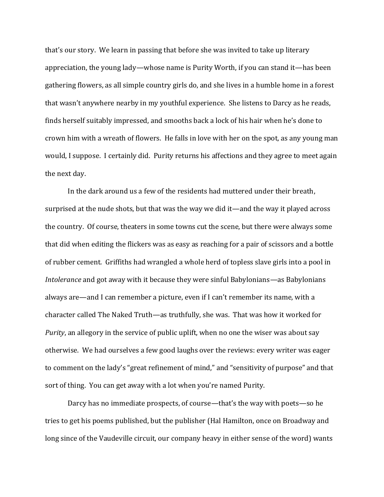that's our story. We learn in passing that before she was invited to take up literary appreciation, the young lady—whose name is Purity Worth, if you can stand it—has been gathering flowers, as all simple country girls do, and she lives in a humble home in a forest that wasn't anywhere nearby in my youthful experience. She listens to Darcy as he reads, finds herself suitably impressed, and smooths back a lock of his hair when he's done to crown him with a wreath of flowers. He falls in love with her on the spot, as any young man would, I suppose. I certainly did. Purity returns his affections and they agree to meet again the next day.

In the dark around us a few of the residents had muttered under their breath, surprised at the nude shots, but that was the way we did it—and the way it played across the country. Of course, theaters in some towns cut the scene, but there were always some that did when editing the flickers was as easy as reaching for a pair of scissors and a bottle of rubber cement. Griffiths had wrangled a whole herd of topless slave girls into a pool in *Intolerance* and got away with it because they were sinful Babylonians—as Babylonians always are—and I can remember a picture, even if I can't remember its name, with a character called The Naked Truth—as truthfully, she was. That was how it worked for *Purity*, an allegory in the service of public uplift, when no one the wiser was about say otherwise. We had ourselves a few good laughs over the reviews: every writer was eager to comment on the lady's "great refinement of mind," and "sensitivity of purpose" and that sort of thing. You can get away with a lot when you're named Purity.

Darcy has no immediate prospects, of course—that's the way with poets—so he tries to get his poems published, but the publisher (Hal Hamilton, once on Broadway and long since of the Vaudeville circuit, our company heavy in either sense of the word) wants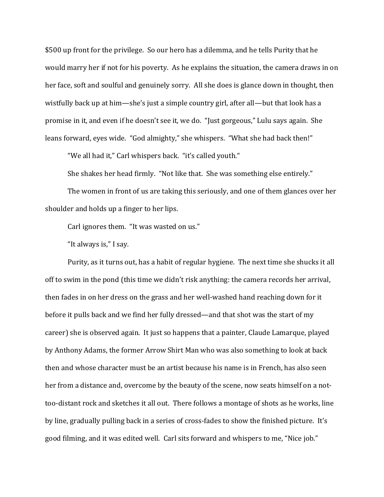\$500 up front for the privilege. So our hero has a dilemma, and he tells Purity that he would marry her if not for his poverty. As he explains the situation, the camera draws in on her face, soft and soulful and genuinely sorry. All she does is glance down in thought, then wistfully back up at him—she's just a simple country girl, after all—but that look has a promise in it, and even if he doesn't see it, we do. "Just gorgeous," Lulu says again. She leans forward, eyes wide. "God almighty," she whispers. "What she had back then!"

"We all had it," Carl whispers back. "it's called youth."

She shakes her head firmly. "Not like that. She was something else entirely."

The women in front of us are taking this seriously, and one of them glances over her shoulder and holds up a finger to her lips.

Carl ignores them. "It was wasted on us."

"It always is," I say.

Purity, as it turns out, has a habit of regular hygiene. The next time she shucks it all off to swim in the pond (this time we didn't risk anything: the camera records her arrival, then fades in on her dress on the grass and her well-washed hand reaching down for it before it pulls back and we find her fully dressed—and that shot was the start of my career) she is observed again. It just so happens that a painter, Claude Lamarque, played by Anthony Adams, the former Arrow Shirt Man who was also something to look at back then and whose character must be an artist because his name is in French, has also seen her from a distance and, overcome by the beauty of the scene, now seats himself on a nottoo-distant rock and sketches it all out. There follows a montage of shots as he works, line by line, gradually pulling back in a series of cross-fades to show the finished picture. It's good filming, and it was edited well. Carl sits forward and whispers to me, "Nice job."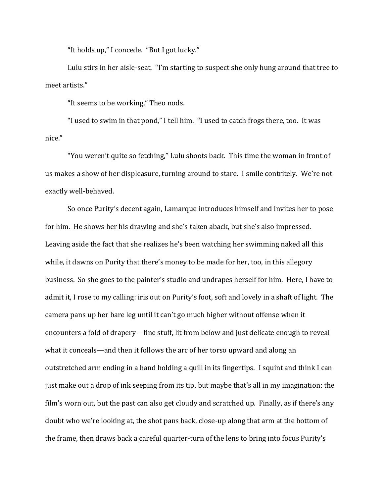"It holds up," I concede. "But I got lucky."

Lulu stirs in her aisle-seat. "I'm starting to suspect she only hung around that tree to meet artists."

"It seems to be working," Theo nods.

"I used to swim in that pond," I tell him. "I used to catch frogs there, too. It was nice."

"You weren't quite so fetching," Lulu shoots back. This time the woman in front of us makes a show of her displeasure, turning around to stare. I smile contritely. We're not exactly well-behaved.

So once Purity's decent again, Lamarque introduces himself and invites her to pose for him. He shows her his drawing and she's taken aback, but she's also impressed. Leaving aside the fact that she realizes he's been watching her swimming naked all this while, it dawns on Purity that there's money to be made for her, too, in this allegory business. So she goes to the painter's studio and undrapes herself for him. Here, I have to admit it, I rose to my calling: iris out on Purity's foot, soft and lovely in a shaft of light. The camera pans up her bare leg until it can't go much higher without offense when it encounters a fold of drapery—fine stuff, lit from below and just delicate enough to reveal what it conceals—and then it follows the arc of her torso upward and along an outstretched arm ending in a hand holding a quill in its fingertips. I squint and think I can just make out a drop of ink seeping from its tip, but maybe that's all in my imagination: the film's worn out, but the past can also get cloudy and scratched up. Finally, as if there's any doubt who we're looking at, the shot pans back, close-up along that arm at the bottom of the frame, then draws back a careful quarter-turn of the lens to bring into focus Purity's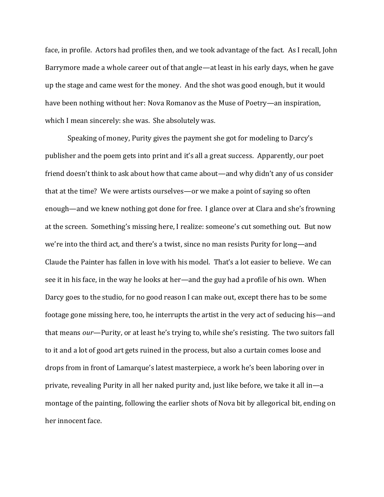face, in profile. Actors had profiles then, and we took advantage of the fact. As I recall, John Barrymore made a whole career out of that angle—at least in his early days, when he gave up the stage and came west for the money. And the shot was good enough, but it would have been nothing without her: Nova Romanov as the Muse of Poetry—an inspiration, which I mean sincerely: she was. She absolutely was.

Speaking of money, Purity gives the payment she got for modeling to Darcy's publisher and the poem gets into print and it's all a great success. Apparently, our poet friend doesn't think to ask about how that came about—and why didn't any of us consider that at the time? We were artists ourselves—or we make a point of saying so often enough—and we knew nothing got done for free. I glance over at Clara and she's frowning at the screen. Something's missing here, I realize: someone's cut something out. But now we're into the third act, and there's a twist, since no man resists Purity for long—and Claude the Painter has fallen in love with his model. That's a lot easier to believe. We can see it in his face, in the way he looks at her—and the guy had a profile of his own. When Darcy goes to the studio, for no good reason I can make out, except there has to be some footage gone missing here, too, he interrupts the artist in the very act of seducing his—and that means *our*—Purity, or at least he's trying to, while she's resisting. The two suitors fall to it and a lot of good art gets ruined in the process, but also a curtain comes loose and drops from in front of Lamarque's latest masterpiece, a work he's been laboring over in private, revealing Purity in all her naked purity and, just like before, we take it all in—a montage of the painting, following the earlier shots of Nova bit by allegorical bit, ending on her innocent face.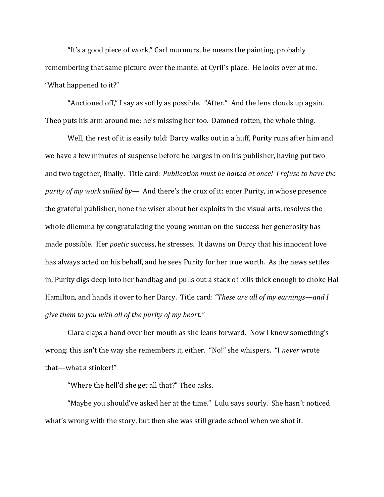"It's a good piece of work," Carl murmurs, he means the painting, probably remembering that same picture over the mantel at Cyril's place. He looks over at me. "What happened to it?"

"Auctioned off," I say as softly as possible. "After." And the lens clouds up again. Theo puts his arm around me: he's missing her too. Damned rotten, the whole thing.

Well, the rest of it is easily told: Darcy walks out in a huff, Purity runs after him and we have a few minutes of suspense before he barges in on his publisher, having put two and two together, finally. Title card: *Publication must be halted at once! I refuse to have the purity of my work sullied by—* And there's the crux of it: enter Purity, in whose presence the grateful publisher, none the wiser about her exploits in the visual arts, resolves the whole dilemma by congratulating the young woman on the success her generosity has made possible. Her *poetic* success, he stresses. It dawns on Darcy that his innocent love has always acted on his behalf, and he sees Purity for her true worth. As the news settles in, Purity digs deep into her handbag and pulls out a stack of bills thick enough to choke Hal Hamilton, and hands it over to her Darcy. Title card: *"These are all of my earnings—and I give them to you with all of the purity of my heart."*

Clara claps a hand over her mouth as she leans forward. Now I know something's wrong: this isn't the way she remembers it, either. "No!" she whispers. "I *never* wrote that—what a stinker!"

"Where the hell'd she get all that?" Theo asks.

"Maybe you should've asked her at the time." Lulu says sourly. She hasn't noticed what's wrong with the story, but then she was still grade school when we shot it.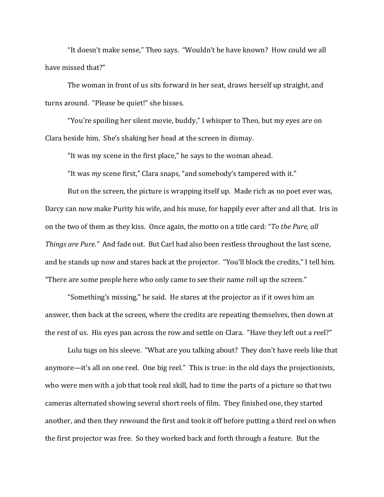"It doesn't make sense," Theo says. "Wouldn't he have known? How could we all have missed that?"

The woman in front of us sits forward in her seat, draws herself up straight, and turns around. "Please be quiet!" she hisses.

"You're spoiling her silent movie, buddy," I whisper to Theo, but my eyes are on Clara beside him. She's shaking her head at the screen in dismay.

"It was my scene in the first place," he says to the woman ahead.

"It was *my* scene first," Clara snaps, "and somebody's tampered with it."

But on the screen, the picture is wrapping itself up. Made rich as no poet ever was, Darcy can now make Purity his wife, and his muse, for happily ever after and all that. Iris in on the two of them as they kiss. Once again, the motto on a title card: "*To the Pure, all Things are Pure."* And fade out. But Carl had also been restless throughout the last scene, and he stands up now and stares back at the projector. "You'll block the credits," I tell him. "There are some people here who only came to see their name roll up the screen."

"Something's missing," he said. He stares at the projector as if it owes him an answer, then back at the screen, where the credits are repeating themselves, then down at the rest of us. His eyes pan across the row and settle on Clara. "Have they left out a reel?"

Lulu tugs on his sleeve. "What are you talking about? They don't have reels like that anymore—it's all on one reel. One big reel." This is true: in the old days the projectionists, who were men with a job that took real skill, had to time the parts of a picture so that two cameras alternated showing several short reels of film. They finished one, they started another, and then they rewound the first and took it off before putting a third reel on when the first projector was free. So they worked back and forth through a feature. But the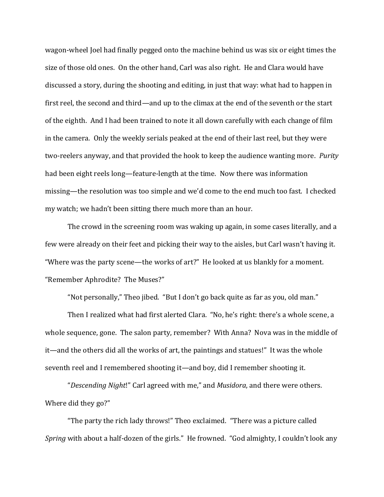wagon-wheel Joel had finally pegged onto the machine behind us was six or eight times the size of those old ones. On the other hand, Carl was also right. He and Clara would have discussed a story, during the shooting and editing, in just that way: what had to happen in first reel, the second and third—and up to the climax at the end of the seventh or the start of the eighth. And I had been trained to note it all down carefully with each change of film in the camera. Only the weekly serials peaked at the end of their last reel, but they were two-reelers anyway, and that provided the hook to keep the audience wanting more. *Purity* had been eight reels long—feature-length at the time. Now there was information missing—the resolution was too simple and we'd come to the end much too fast. I checked my watch; we hadn't been sitting there much more than an hour.

The crowd in the screening room was waking up again, in some cases literally, and a few were already on their feet and picking their way to the aisles, but Carl wasn't having it. "Where was the party scene—the works of art?" He looked at us blankly for a moment. "Remember Aphrodite? The Muses?"

"Not personally," Theo jibed. "But I don't go back quite as far as you, old man."

Then I realized what had first alerted Clara. "No, he's right: there's a whole scene, a whole sequence, gone. The salon party, remember? With Anna? Nova was in the middle of it—and the others did all the works of art, the paintings and statues!" It was the whole seventh reel and I remembered shooting it—and boy, did I remember shooting it.

"*Descending Night*!" Carl agreed with me," and *Musidora*, and there were others. Where did they go?"

"The party the rich lady throws!" Theo exclaimed. "There was a picture called *Spring* with about a half-dozen of the girls." He frowned. "God almighty, I couldn't look any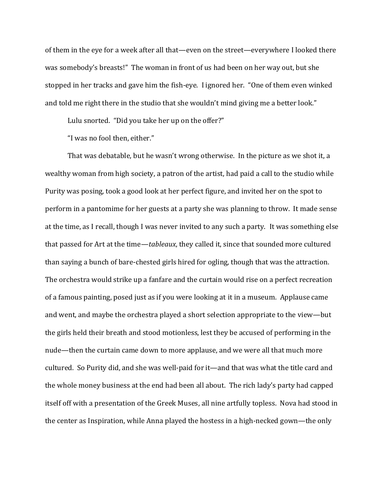of them in the eye for a week after all that—even on the street—everywhere I looked there was somebody's breasts!" The woman in front of us had been on her way out, but she stopped in her tracks and gave him the fish-eye. I ignored her. "One of them even winked and told me right there in the studio that she wouldn't mind giving me a better look."

Lulu snorted. "Did you take her up on the offer?"

"I was no fool then, either."

That was debatable, but he wasn't wrong otherwise. In the picture as we shot it, a wealthy woman from high society, a patron of the artist, had paid a call to the studio while Purity was posing, took a good look at her perfect figure, and invited her on the spot to perform in a pantomime for her guests at a party she was planning to throw. It made sense at the time, as I recall, though I was never invited to any such a party. It was something else that passed for Art at the time—*tableaux*, they called it, since that sounded more cultured than saying a bunch of bare-chested girls hired for ogling, though that was the attraction. The orchestra would strike up a fanfare and the curtain would rise on a perfect recreation of a famous painting, posed just as if you were looking at it in a museum. Applause came and went, and maybe the orchestra played a short selection appropriate to the view—but the girls held their breath and stood motionless, lest they be accused of performing in the nude—then the curtain came down to more applause, and we were all that much more cultured. So Purity did, and she was well-paid for it—and that was what the title card and the whole money business at the end had been all about. The rich lady's party had capped itself off with a presentation of the Greek Muses, all nine artfully topless. Nova had stood in the center as Inspiration, while Anna played the hostess in a high-necked gown—the only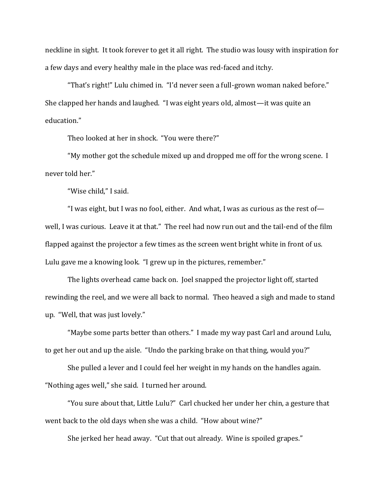neckline in sight. It took forever to get it all right. The studio was lousy with inspiration for a few days and every healthy male in the place was red-faced and itchy.

"That's right!" Lulu chimed in. "I'd never seen a full-grown woman naked before." She clapped her hands and laughed. "I was eight years old, almost—it was quite an education."

Theo looked at her in shock. "You were there?"

"My mother got the schedule mixed up and dropped me off for the wrong scene. I never told her."

"Wise child," I said.

"I was eight, but I was no fool, either. And what, I was as curious as the rest of  $$ well, I was curious. Leave it at that." The reel had now run out and the tail-end of the film flapped against the projector a few times as the screen went bright white in front of us. Lulu gave me a knowing look. "I grew up in the pictures, remember."

The lights overhead came back on. Joel snapped the projector light off, started rewinding the reel, and we were all back to normal. Theo heaved a sigh and made to stand up. "Well, that was just lovely."

"Maybe some parts better than others." I made my way past Carl and around Lulu, to get her out and up the aisle. "Undo the parking brake on that thing, would you?"

She pulled a lever and I could feel her weight in my hands on the handles again. "Nothing ages well," she said. I turned her around.

"You sure about that, Little Lulu?" Carl chucked her under her chin, a gesture that went back to the old days when she was a child. "How about wine?"

She jerked her head away. "Cut that out already. Wine is spoiled grapes."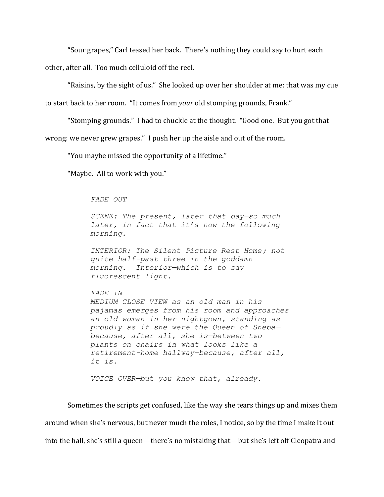"Sour grapes," Carl teased her back. There's nothing they could say to hurt each other, after all. Too much celluloid off the reel.

"Raisins, by the sight of us." She looked up over her shoulder at me: that was my cue

to start back to her room. "It comes from *your* old stomping grounds, Frank."

"Stomping grounds." I had to chuckle at the thought. "Good one. But you got that

wrong: we never grew grapes." I push her up the aisle and out of the room.

"You maybe missed the opportunity of a lifetime."

"Maybe. All to work with you."

*FADE OUT*

*SCENE: The present, later that day—so much later, in fact that it's now the following morning.*

*INTERIOR: The Silent Picture Rest Home; not quite half-past three in the goddamn morning. Interior—which is to say fluorescent—light.*

*FADE IN* 

*MEDIUM CLOSE VIEW as an old man in his pajamas emerges from his room and approaches an old woman in her nightgown, standing as proudly as if she were the Queen of Sheba because, after all, she is—between two plants on chairs in what looks like a retirement-home hallway—because, after all, it is.*

*VOICE OVER—but you know that, already.*

Sometimes the scripts get confused, like the way she tears things up and mixes them around when she's nervous, but never much the roles, I notice, so by the time I make it out into the hall, she's still a queen—there's no mistaking that—but she's left off Cleopatra and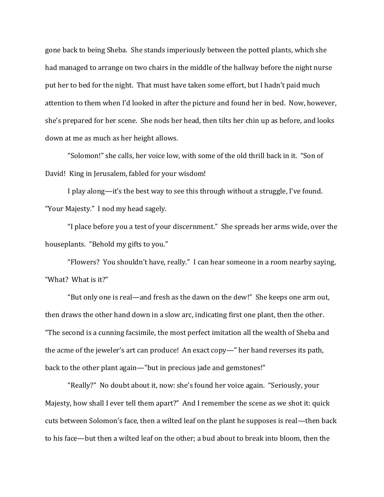gone back to being Sheba. She stands imperiously between the potted plants, which she had managed to arrange on two chairs in the middle of the hallway before the night nurse put her to bed for the night. That must have taken some effort, but I hadn't paid much attention to them when I'd looked in after the picture and found her in bed. Now, however, she's prepared for her scene. She nods her head, then tilts her chin up as before, and looks down at me as much as her height allows.

"Solomon!" she calls, her voice low, with some of the old thrill back in it. "Son of David! King in Jerusalem, fabled for your wisdom!

I play along—it's the best way to see this through without a struggle, I've found. "Your Majesty." I nod my head sagely.

"I place before you a test of your discernment." She spreads her arms wide, over the houseplants. "Behold my gifts to you."

"Flowers? You shouldn't have, really." I can hear someone in a room nearby saying, "What? What is it?"

"But only one is real—and fresh as the dawn on the dew!" She keeps one arm out, then draws the other hand down in a slow arc, indicating first one plant, then the other. "The second is a cunning facsimile, the most perfect imitation all the wealth of Sheba and the acme of the jeweler's art can produce! An exact copy—" her hand reverses its path, back to the other plant again—"but in precious jade and gemstones!"

"Really?" No doubt about it, now: she's found her voice again. "Seriously, your Majesty, how shall I ever tell them apart?" And I remember the scene as we shot it: quick cuts between Solomon's face, then a wilted leaf on the plant he supposes is real—then back to his face—but then a wilted leaf on the other; a bud about to break into bloom, then the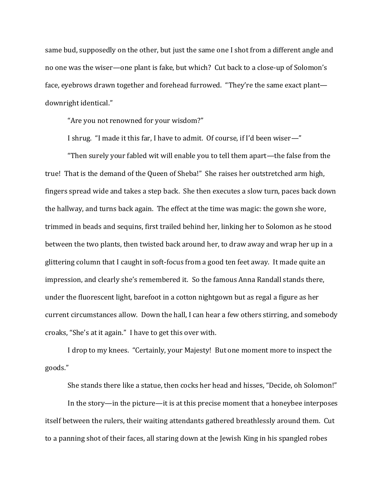same bud, supposedly on the other, but just the same one I shot from a different angle and no one was the wiser—one plant is fake, but which? Cut back to a close-up of Solomon's face, eyebrows drawn together and forehead furrowed. "They're the same exact plant downright identical."

"Are you not renowned for your wisdom?"

I shrug. "I made it this far, I have to admit. Of course, if I'd been wiser—"

"Then surely your fabled wit will enable you to tell them apart—the false from the true! That is the demand of the Queen of Sheba!" She raises her outstretched arm high, fingers spread wide and takes a step back. She then executes a slow turn, paces back down the hallway, and turns back again. The effect at the time was magic: the gown she wore, trimmed in beads and sequins, first trailed behind her, linking her to Solomon as he stood between the two plants, then twisted back around her, to draw away and wrap her up in a glittering column that I caught in soft-focus from a good ten feet away. It made quite an impression, and clearly she's remembered it. So the famous Anna Randall stands there, under the fluorescent light, barefoot in a cotton nightgown but as regal a figure as her current circumstances allow. Down the hall, I can hear a few others stirring, and somebody croaks, "She's at it again." I have to get this over with.

I drop to my knees. "Certainly, your Majesty! But one moment more to inspect the goods."

She stands there like a statue, then cocks her head and hisses, "Decide, oh Solomon!"

In the story—in the picture—it is at this precise moment that a honeybee interposes itself between the rulers, their waiting attendants gathered breathlessly around them. Cut to a panning shot of their faces, all staring down at the Jewish King in his spangled robes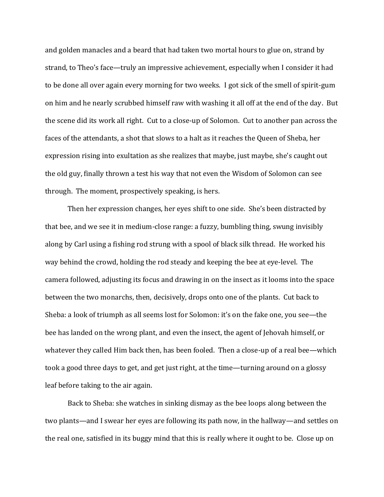and golden manacles and a beard that had taken two mortal hours to glue on, strand by strand, to Theo's face—truly an impressive achievement, especially when I consider it had to be done all over again every morning for two weeks. I got sick of the smell of spirit-gum on him and he nearly scrubbed himself raw with washing it all off at the end of the day. But the scene did its work all right. Cut to a close-up of Solomon. Cut to another pan across the faces of the attendants, a shot that slows to a halt as it reaches the Queen of Sheba, her expression rising into exultation as she realizes that maybe, just maybe, she's caught out the old guy, finally thrown a test his way that not even the Wisdom of Solomon can see through. The moment, prospectively speaking, is hers.

Then her expression changes, her eyes shift to one side. She's been distracted by that bee, and we see it in medium-close range: a fuzzy, bumbling thing, swung invisibly along by Carl using a fishing rod strung with a spool of black silk thread. He worked his way behind the crowd, holding the rod steady and keeping the bee at eye-level. The camera followed, adjusting its focus and drawing in on the insect as it looms into the space between the two monarchs, then, decisively, drops onto one of the plants. Cut back to Sheba: a look of triumph as all seems lost for Solomon: it's on the fake one, you see—the bee has landed on the wrong plant, and even the insect, the agent of Jehovah himself, or whatever they called Him back then, has been fooled. Then a close-up of a real bee—which took a good three days to get, and get just right, at the time—turning around on a glossy leaf before taking to the air again.

Back to Sheba: she watches in sinking dismay as the bee loops along between the two plants—and I swear her eyes are following its path now, in the hallway—and settles on the real one, satisfied in its buggy mind that this is really where it ought to be. Close up on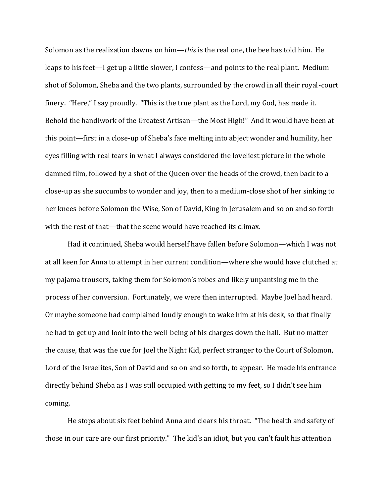Solomon as the realization dawns on him—*this* is the real one, the bee has told him. He leaps to his feet—I get up a little slower, I confess—and points to the real plant. Medium shot of Solomon, Sheba and the two plants, surrounded by the crowd in all their royal-court finery. "Here," I say proudly. "This is the true plant as the Lord, my God, has made it. Behold the handiwork of the Greatest Artisan—the Most High!" And it would have been at this point—first in a close-up of Sheba's face melting into abject wonder and humility, her eyes filling with real tears in what I always considered the loveliest picture in the whole damned film, followed by a shot of the Queen over the heads of the crowd, then back to a close-up as she succumbs to wonder and joy, then to a medium-close shot of her sinking to her knees before Solomon the Wise, Son of David, King in Jerusalem and so on and so forth with the rest of that—that the scene would have reached its climax.

Had it continued, Sheba would herself have fallen before Solomon—which I was not at all keen for Anna to attempt in her current condition—where she would have clutched at my pajama trousers, taking them for Solomon's robes and likely unpantsing me in the process of her conversion. Fortunately, we were then interrupted. Maybe Joel had heard. Or maybe someone had complained loudly enough to wake him at his desk, so that finally he had to get up and look into the well-being of his charges down the hall. But no matter the cause, that was the cue for Joel the Night Kid, perfect stranger to the Court of Solomon, Lord of the Israelites, Son of David and so on and so forth, to appear. He made his entrance directly behind Sheba as I was still occupied with getting to my feet, so I didn't see him coming.

He stops about six feet behind Anna and clears his throat. "The health and safety of those in our care are our first priority." The kid's an idiot, but you can't fault his attention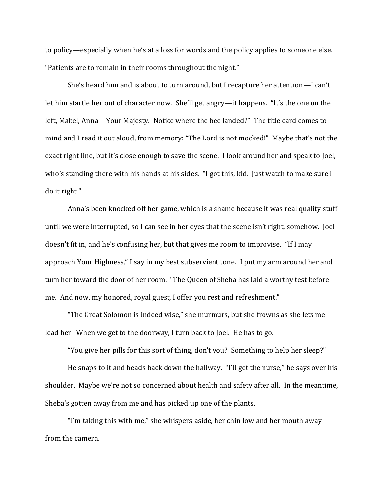to policy—especially when he's at a loss for words and the policy applies to someone else. "Patients are to remain in their rooms throughout the night."

She's heard him and is about to turn around, but I recapture her attention—I can't let him startle her out of character now. She'll get angry—it happens. "It's the one on the left, Mabel, Anna—Your Majesty. Notice where the bee landed?" The title card comes to mind and I read it out aloud, from memory: "The Lord is not mocked!" Maybe that's not the exact right line, but it's close enough to save the scene. I look around her and speak to Joel, who's standing there with his hands at his sides. "I got this, kid. Just watch to make sure I do it right."

Anna's been knocked off her game, which is a shame because it was real quality stuff until we were interrupted, so I can see in her eyes that the scene isn't right, somehow. Joel doesn't fit in, and he's confusing her, but that gives me room to improvise. "If I may approach Your Highness," I say in my best subservient tone. I put my arm around her and turn her toward the door of her room. "The Queen of Sheba has laid a worthy test before me. And now, my honored, royal guest, I offer you rest and refreshment."

"The Great Solomon is indeed wise," she murmurs, but she frowns as she lets me lead her. When we get to the doorway, I turn back to Joel. He has to go.

"You give her pills for this sort of thing, don't you? Something to help her sleep?"

He snaps to it and heads back down the hallway. "I'll get the nurse," he says over his shoulder. Maybe we're not so concerned about health and safety after all. In the meantime, Sheba's gotten away from me and has picked up one of the plants.

"I'm taking this with me," she whispers aside, her chin low and her mouth away from the camera.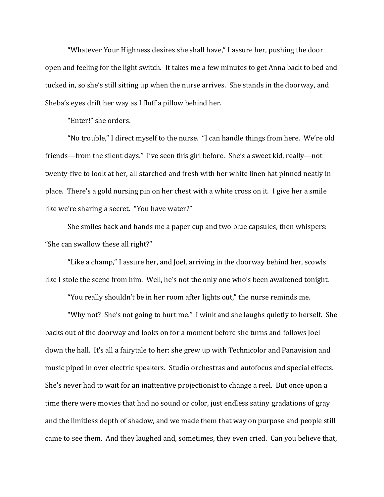"Whatever Your Highness desires she shall have," I assure her, pushing the door open and feeling for the light switch. It takes me a few minutes to get Anna back to bed and tucked in, so she's still sitting up when the nurse arrives. She stands in the doorway, and Sheba's eyes drift her way as I fluff a pillow behind her.

"Enter!" she orders.

"No trouble," I direct myself to the nurse. "I can handle things from here. We're old friends—from the silent days." I've seen this girl before. She's a sweet kid, really—not twenty-five to look at her, all starched and fresh with her white linen hat pinned neatly in place. There's a gold nursing pin on her chest with a white cross on it. I give her a smile like we're sharing a secret. "You have water?"

She smiles back and hands me a paper cup and two blue capsules, then whispers: "She can swallow these all right?"

"Like a champ," I assure her, and Joel, arriving in the doorway behind her, scowls like I stole the scene from him. Well, he's not the only one who's been awakened tonight.

"You really shouldn't be in her room after lights out," the nurse reminds me.

"Why not? She's not going to hurt me." I wink and she laughs quietly to herself. She backs out of the doorway and looks on for a moment before she turns and follows Joel down the hall. It's all a fairytale to her: she grew up with Technicolor and Panavision and music piped in over electric speakers. Studio orchestras and autofocus and special effects. She's never had to wait for an inattentive projectionist to change a reel. But once upon a time there were movies that had no sound or color, just endless satiny gradations of gray and the limitless depth of shadow, and we made them that way on purpose and people still came to see them. And they laughed and, sometimes, they even cried. Can you believe that,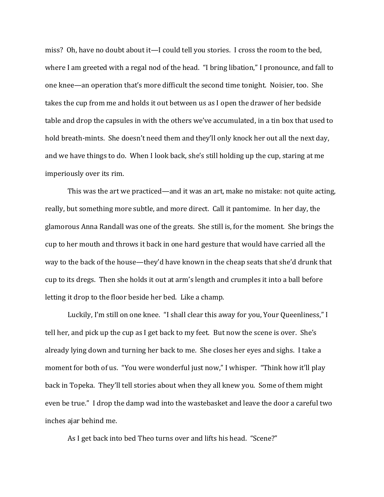miss? Oh, have no doubt about it—I could tell you stories. I cross the room to the bed, where I am greeted with a regal nod of the head. "I bring libation," I pronounce, and fall to one knee—an operation that's more difficult the second time tonight. Noisier, too. She takes the cup from me and holds it out between us as I open the drawer of her bedside table and drop the capsules in with the others we've accumulated, in a tin box that used to hold breath-mints. She doesn't need them and they'll only knock her out all the next day, and we have things to do. When I look back, she's still holding up the cup, staring at me imperiously over its rim.

This was the art we practiced—and it was an art, make no mistake: not quite acting, really, but something more subtle, and more direct. Call it pantomime. In her day, the glamorous Anna Randall was one of the greats. She still is, for the moment. She brings the cup to her mouth and throws it back in one hard gesture that would have carried all the way to the back of the house—they'd have known in the cheap seats that she'd drunk that cup to its dregs. Then she holds it out at arm's length and crumples it into a ball before letting it drop to the floor beside her bed. Like a champ.

Luckily, I'm still on one knee. "I shall clear this away for you, Your Queenliness," I tell her, and pick up the cup as I get back to my feet. But now the scene is over. She's already lying down and turning her back to me. She closes her eyes and sighs. I take a moment for both of us. "You were wonderful just now," I whisper. "Think how it'll play back in Topeka. They'll tell stories about when they all knew you. Some of them might even be true." I drop the damp wad into the wastebasket and leave the door a careful two inches ajar behind me.

As I get back into bed Theo turns over and lifts his head. "Scene?"